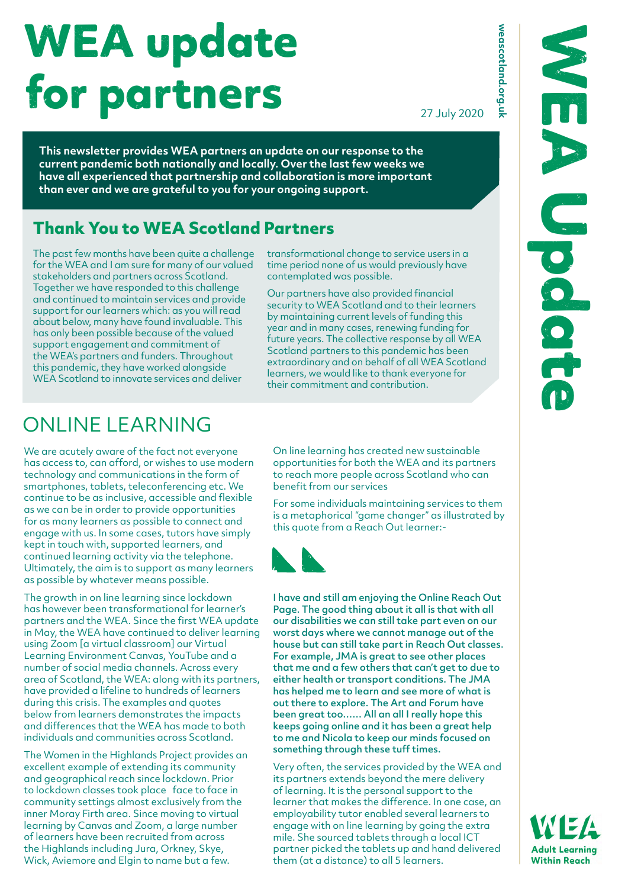# WEA update for partners

27 July 2020

**weascotland.org.uk**

weascotland.org.uk

**This newsletter provides WEA partners an update on our response to the current pandemic both nationally and locally. Over the last few weeks we have all experienced that partnership and collaboration is more important than ever and we are grateful to you for your ongoing support.**

#### **Thank You to WEA Scotland Partners**

The past few months have been quite a challenge for the WEA and I am sure for many of our valued stakeholders and partners across Scotland. Together we have responded to this challenge and continued to maintain services and provide support for our learners which: as you will read about below, many have found invaluable. This has only been possible because of the valued support engagement and commitment of the WEA's partners and funders. Throughout this pandemic, they have worked alongside WEA Scotland to innovate services and deliver

transformational change to service users in a time period none of us would previously have contemplated was possible.

Our partners have also provided financial security to WEA Scotland and to their learners by maintaining current levels of funding this year and in many cases, renewing funding for future years. The collective response by all WEA Scotland partners to this pandemic has been extraordinary and on behalf of all WEA Scotland learners, we would like to thank everyone for their commitment and contribution.

# ONI INF LEARNING

We are acutely aware of the fact not everyone has access to, can afford, or wishes to use modern technology and communications in the form of smartphones, tablets, teleconferencing etc. We continue to be as inclusive, accessible and flexible as we can be in order to provide opportunities for as many learners as possible to connect and engage with us. In some cases, tutors have simply kept in touch with, supported learners, and continued learning activity via the telephone. Ultimately, the aim is to support as many learners as possible by whatever means possible.

The growth in on line learning since lockdown has however been transformational for learner's partners and the WEA. Since the first WEA update in May, the WEA have continued to deliver learning using Zoom [a virtual classroom] our Virtual Learning Environment Canvas, YouTube and a number of social media channels. Across every area of Scotland, the WEA: along with its partners, have provided a lifeline to hundreds of learners during this crisis. The examples and quotes below from learners demonstrates the impacts and differences that the WEA has made to both individuals and communities across Scotland.

The Women in the Highlands Project provides an excellent example of extending its community and geographical reach since lockdown. Prior to lockdown classes took place face to face in community settings almost exclusively from the inner Moray Firth area. Since moving to virtual learning by Canvas and Zoom, a large number of learners have been recruited from across the Highlands including Jura, Orkney, Skye, Wick, Aviemore and Elgin to name but a few.

On line learning has created new sustainable opportunities for both the WEA and its partners to reach more people across Scotland who can benefit from our services

For some individuals maintaining services to them is a metaphorical "game changer" as illustrated by this quote from a Reach Out learner:-



I have and still am enjoying the Online Reach Out Page. The good thing about it all is that with all our disabilities we can still take part even on our worst days where we cannot manage out of the house but can still take part in Reach Out classes. For example, JMA is great to see other places that me and a few others that can't get to due to either health or transport conditions. The JMA has helped me to learn and see more of what is out there to explore. The Art and Forum have been great too…… All an all I really hope this keeps going online and it has been a great help to me and Nicola to keep our minds focused on something through these tuff times.

Very often, the services provided by the WEA and its partners extends beyond the mere delivery of learning. It is the personal support to the learner that makes the difference. In one case, an employability tutor enabled several learners to engage with on line learning by going the extra mile. She sourced tablets through a local ICT partner picked the tablets up and hand delivered them (at a distance) to all 5 learners.